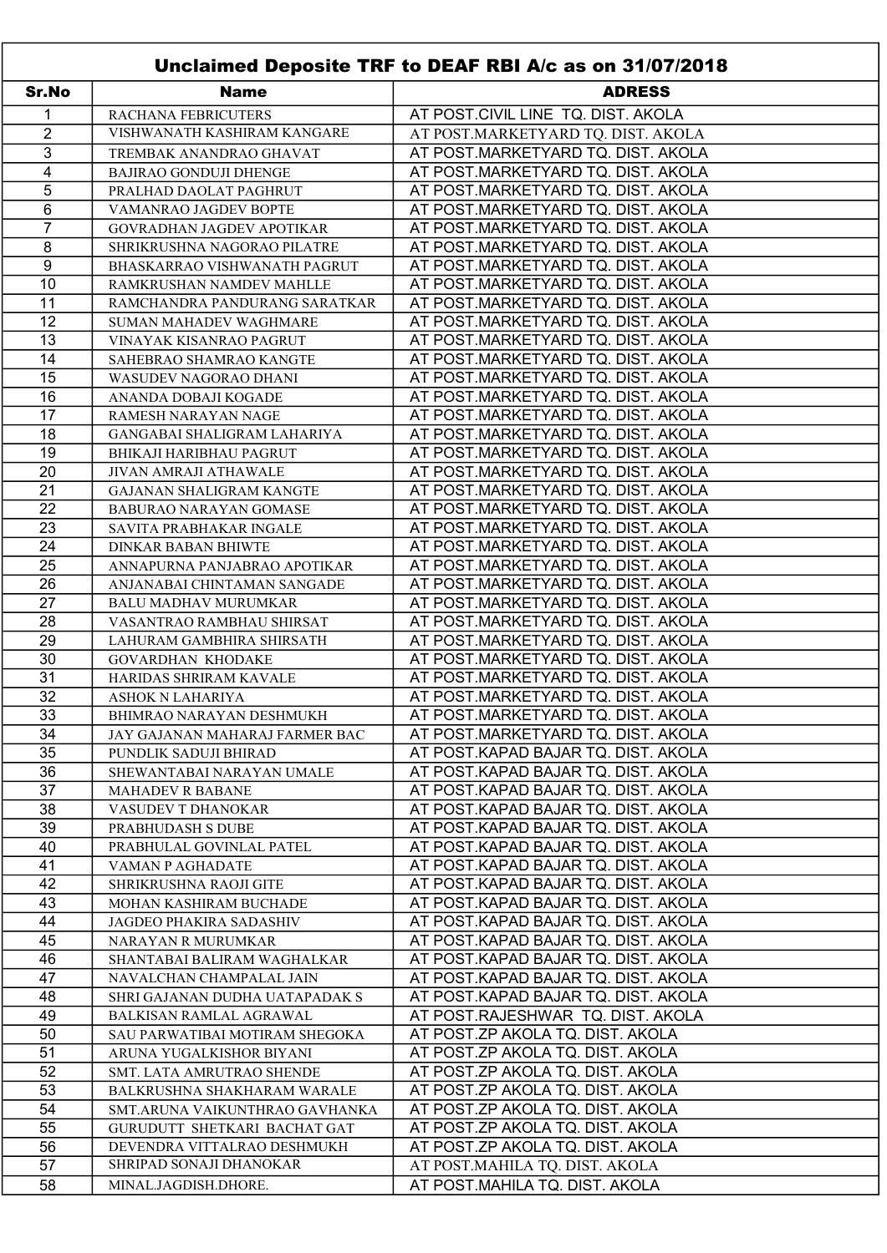| Unclaimed Deposite TRF to DEAF RBI A/c as on 31/07/2018 |                                  |                                     |  |  |
|---------------------------------------------------------|----------------------------------|-------------------------------------|--|--|
| Sr.No                                                   | <b>Name</b>                      | <b>ADRESS</b>                       |  |  |
| 1                                                       | RACHANA FEBRICUTERS              | AT POST.CIVIL LINE TQ. DIST. AKOLA  |  |  |
| $\overline{2}$                                          | VISHWANATH KASHIRAM KANGARE      | AT POST.MARKETYARD TQ. DIST. AKOLA  |  |  |
| 3                                                       | TREMBAK ANANDRAO GHAVAT          | AT POST.MARKETYARD TQ. DIST. AKOLA  |  |  |
| 4                                                       | <b>BAJIRAO GONDUJI DHENGE</b>    | AT POST.MARKETYARD TQ. DIST. AKOLA  |  |  |
| 5                                                       | PRALHAD DAOLAT PAGHRUT           | AT POST.MARKETYARD TQ. DIST. AKOLA  |  |  |
| 6                                                       | VAMANRAO JAGDEV BOPTE            | AT POST.MARKETYARD TQ. DIST. AKOLA  |  |  |
| $\overline{7}$                                          | GOVRADHAN JAGDEV APOTIKAR        | AT POST.MARKETYARD TQ. DIST. AKOLA  |  |  |
| 8                                                       | SHRIKRUSHNA NAGORAO PILATRE      | AT POST.MARKETYARD TQ. DIST. AKOLA  |  |  |
| $\boldsymbol{9}$                                        | BHASKARRAO VISHWANATH PAGRUT     | AT POST.MARKETYARD TQ. DIST. AKOLA  |  |  |
| 10                                                      | RAMKRUSHAN NAMDEV MAHLLE         | AT POST.MARKETYARD TQ. DIST. AKOLA  |  |  |
| 11                                                      | RAMCHANDRA PANDURANG SARATKAR    | AT POST.MARKETYARD TQ. DIST. AKOLA  |  |  |
| 12                                                      | <b>SUMAN MAHADEV WAGHMARE</b>    | AT POST.MARKETYARD TQ. DIST. AKOLA  |  |  |
| 13                                                      | VINAYAK KISANRAO PAGRUT          | AT POST.MARKETYARD TQ. DIST. AKOLA  |  |  |
| 14                                                      | SAHEBRAO SHAMRAO KANGTE          | AT POST.MARKETYARD TQ. DIST. AKOLA  |  |  |
| 15                                                      | WASUDEV NAGORAO DHANI            | AT POST.MARKETYARD TQ. DIST. AKOLA  |  |  |
| 16                                                      | ANANDA DOBAJI KOGADE             | AT POST.MARKETYARD TQ. DIST. AKOLA  |  |  |
| 17                                                      | RAMESH NARAYAN NAGE              | AT POST.MARKETYARD TQ. DIST. AKOLA  |  |  |
| 18                                                      | GANGABAI SHALIGRAM LAHARIYA      | AT POST.MARKETYARD TQ. DIST. AKOLA  |  |  |
| 19                                                      | <b>BHIKAJI HARIBHAU PAGRUT</b>   | AT POST.MARKETYARD TQ. DIST. AKOLA  |  |  |
| 20                                                      | JIVAN AMRAJI ATHAWALE            | AT POST.MARKETYARD TQ. DIST. AKOLA  |  |  |
| 21                                                      | <b>GAJANAN SHALIGRAM KANGTE</b>  | AT POST.MARKETYARD TQ. DIST. AKOLA  |  |  |
| $\overline{22}$                                         | <b>BABURAO NARAYAN GOMASE</b>    | AT POST.MARKETYARD TQ. DIST. AKOLA  |  |  |
| 23                                                      | SAVITA PRABHAKAR INGALE          | AT POST.MARKETYARD TQ. DIST. AKOLA  |  |  |
| 24                                                      | <b>DINKAR BABAN BHIWTE</b>       | AT POST.MARKETYARD TQ. DIST. AKOLA  |  |  |
| 25                                                      | ANNAPURNA PANJABRAO APOTIKAR     | AT POST.MARKETYARD TQ. DIST. AKOLA  |  |  |
| 26                                                      | ANJANABAI CHINTAMAN SANGADE      | AT POST.MARKETYARD TQ. DIST. AKOLA  |  |  |
| $\overline{27}$                                         | <b>BALU MADHAV MURUMKAR</b>      | AT POST.MARKETYARD TQ. DIST. AKOLA  |  |  |
| 28                                                      | VASANTRAO RAMBHAU SHIRSAT        | AT POST.MARKETYARD TQ. DIST. AKOLA  |  |  |
| 29                                                      | LAHURAM GAMBHIRA SHIRSATH        | AT POST.MARKETYARD TQ. DIST. AKOLA  |  |  |
| 30                                                      | <b>GOVARDHAN KHODAKE</b>         | AT POST.MARKETYARD TQ. DIST. AKOLA  |  |  |
| 31                                                      | HARIDAS SHRIRAM KAVALE           | AT POST.MARKETYARD TQ. DIST. AKOLA  |  |  |
| $\overline{32}$                                         | <b>ASHOK N LAHARIYA</b>          | AT POST.MARKETYARD TQ. DIST. AKOLA  |  |  |
| 33                                                      | BHIMRAO NARAYAN DESHMUKH         | AT POST.MARKETYARD TQ. DIST. AKOLA  |  |  |
| 34                                                      | JAY GAJANAN MAHARAJ FARMER BAC   | AT POST.MARKETYARD TQ. DIST. AKOLA  |  |  |
| 35                                                      | PUNDLIK SADUJI BHIRAD            | AT POST.KAPAD BAJAR TQ. DIST. AKOLA |  |  |
| 36                                                      | SHEWANTABAI NARAYAN UMALE        | AT POST.KAPAD BAJAR TQ. DIST. AKOLA |  |  |
| 37                                                      | <b>MAHADEV R BABANE</b>          | AT POST.KAPAD BAJAR TQ. DIST. AKOLA |  |  |
| 38                                                      | VASUDEV T DHANOKAR               | AT POST.KAPAD BAJAR TQ. DIST. AKOLA |  |  |
| 39                                                      | PRABHUDASH S DUBE                | AT POST.KAPAD BAJAR TQ. DIST. AKOLA |  |  |
| 40                                                      | PRABHULAL GOVINLAL PATEL         | AT POST.KAPAD BAJAR TQ. DIST. AKOLA |  |  |
| 41                                                      | VAMAN P AGHADATE                 | AT POST.KAPAD BAJAR TQ. DIST. AKOLA |  |  |
| 42                                                      | SHRIKRUSHNA RAOJI GITE           | AT POST.KAPAD BAJAR TQ. DIST. AKOLA |  |  |
| 43                                                      | MOHAN KASHIRAM BUCHADE           | AT POST.KAPAD BAJAR TQ. DIST. AKOLA |  |  |
| 44                                                      | JAGDEO PHAKIRA SADASHIV          | AT POST.KAPAD BAJAR TQ. DIST. AKOLA |  |  |
| 45                                                      | NARAYAN R MURUMKAR               | AT POST.KAPAD BAJAR TQ. DIST. AKOLA |  |  |
| 46                                                      | SHANTABAI BALIRAM WAGHALKAR      | AT POST.KAPAD BAJAR TQ. DIST. AKOLA |  |  |
| 47                                                      | NAVALCHAN CHAMPALAL JAIN         | AT POST.KAPAD BAJAR TQ. DIST. AKOLA |  |  |
| 48                                                      | SHRI GAJANAN DUDHA UATAPADAK S   | AT POST.KAPAD BAJAR TQ. DIST. AKOLA |  |  |
| 49                                                      | BALKISAN RAMLAL AGRAWAL          | AT POST.RAJESHWAR TQ. DIST. AKOLA   |  |  |
| 50                                                      | SAU PARWATIBAI MOTIRAM SHEGOKA   | AT POST.ZP AKOLA TQ. DIST. AKOLA    |  |  |
| 51                                                      | ARUNA YUGALKISHOR BIYANI         | AT POST.ZP AKOLA TQ. DIST. AKOLA    |  |  |
| 52                                                      | <b>SMT. LATA AMRUTRAO SHENDE</b> | AT POST.ZP AKOLA TQ. DIST. AKOLA    |  |  |
| 53                                                      | BALKRUSHNA SHAKHARAM WARALE      | AT POST.ZP AKOLA TQ. DIST. AKOLA    |  |  |
| 54                                                      | SMT.ARUNA VAIKUNTHRAO GAVHANKA   | AT POST.ZP AKOLA TQ. DIST. AKOLA    |  |  |
| 55                                                      | GURUDUTT SHETKARI BACHAT GAT     | AT POST.ZP AKOLA TQ. DIST. AKOLA    |  |  |
| 56                                                      | DEVENDRA VITTALRAO DESHMUKH      | AT POST.ZP AKOLA TQ. DIST. AKOLA    |  |  |
| 57                                                      | SHRIPAD SONAJI DHANOKAR          | AT POST.MAHILA TQ. DIST. AKOLA      |  |  |
| 58                                                      | MINAL.JAGDISH.DHORE.             | AT POST.MAHILA TQ. DIST. AKOLA      |  |  |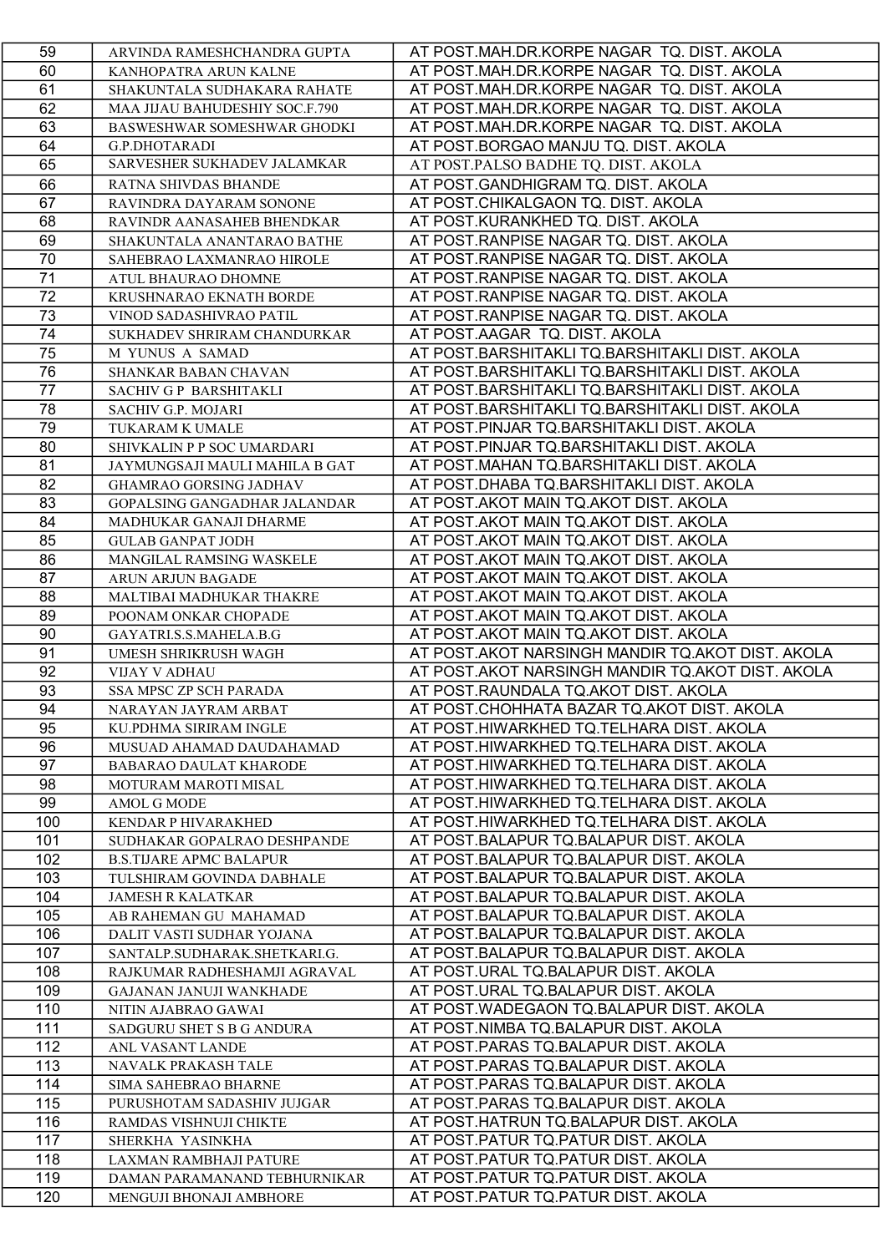| 59  | ARVINDA RAMESHCHANDRA GUPTA     | AT POST.MAH.DR.KORPE NAGAR TQ. DIST. AKOLA       |
|-----|---------------------------------|--------------------------------------------------|
| 60  | KANHOPATRA ARUN KALNE           | AT POST.MAH.DR.KORPE NAGAR TQ. DIST. AKOLA       |
| 61  | SHAKUNTALA SUDHAKARA RAHATE     | AT POST.MAH.DR.KORPE NAGAR TQ. DIST. AKOLA       |
| 62  | MAA JIJAU BAHUDESHIY SOC.F.790  | AT POST.MAH.DR.KORPE NAGAR TQ. DIST. AKOLA       |
| 63  | BASWESHWAR SOMESHWAR GHODKI     | AT POST.MAH.DR.KORPE NAGAR TQ. DIST. AKOLA       |
| 64  | <b>G.P.DHOTARADI</b>            | AT POST.BORGAO MANJU TQ. DIST. AKOLA             |
| 65  | SARVESHER SUKHADEV JALAMKAR     | AT POST.PALSO BADHE TQ. DIST. AKOLA              |
| 66  | RATNA SHIVDAS BHANDE            | AT POST.GANDHIGRAM TQ. DIST. AKOLA               |
| 67  | RAVINDRA DAYARAM SONONE         | AT POST.CHIKALGAON TQ. DIST. AKOLA               |
| 68  | RAVINDR AANASAHEB BHENDKAR      | AT POST.KURANKHED TQ. DIST. AKOLA                |
| 69  | SHAKUNTALA ANANTARAO BATHE      | AT POST.RANPISE NAGAR TQ. DIST. AKOLA            |
| 70  | SAHEBRAO LAXMANRAO HIROLE       | AT POST.RANPISE NAGAR TQ. DIST. AKOLA            |
| 71  | ATUL BHAURAO DHOMNE             | AT POST.RANPISE NAGAR TQ. DIST. AKOLA            |
| 72  | KRUSHNARAO EKNATH BORDE         | AT POST.RANPISE NAGAR TQ. DIST. AKOLA            |
| 73  | VINOD SADASHIVRAO PATIL         | AT POST.RANPISE NAGAR TQ. DIST. AKOLA            |
| 74  | SUKHADEV SHRIRAM CHANDURKAR     | AT POST.AAGAR TQ. DIST. AKOLA                    |
| 75  | M YUNUS A SAMAD                 | AT POST.BARSHITAKLI TQ.BARSHITAKLI DIST. AKOLA   |
| 76  | SHANKAR BABAN CHAVAN            | AT POST.BARSHITAKLI TQ.BARSHITAKLI DIST. AKOLA   |
| 77  | SACHIV G P BARSHITAKLI          | AT POST.BARSHITAKLI TQ.BARSHITAKLI DIST. AKOLA   |
| 78  | <b>SACHIV G.P. MOJARI</b>       | AT POST.BARSHITAKLI TQ.BARSHITAKLI DIST. AKOLA   |
| 79  | <b>TUKARAM K UMALE</b>          | AT POST.PINJAR TQ.BARSHITAKLI DIST. AKOLA        |
| 80  | SHIVKALIN P P SOC UMARDARI      | AT POST.PINJAR TQ.BARSHITAKLI DIST. AKOLA        |
| 81  | JAYMUNGSAJI MAULI MAHILA B GAT  | AT POST.MAHAN TQ.BARSHITAKLI DIST. AKOLA         |
| 82  | GHAMRAO GORSING JADHAV          | AT POST.DHABA TQ.BARSHITAKLI DIST. AKOLA         |
| 83  | GOPALSING GANGADHAR JALANDAR    | AT POST.AKOT MAIN TQ.AKOT DIST. AKOLA            |
| 84  | MADHUKAR GANAJI DHARME          | AT POST.AKOT MAIN TQ.AKOT DIST. AKOLA            |
| 85  | <b>GULAB GANPAT JODH</b>        | AT POST.AKOT MAIN TQ.AKOT DIST. AKOLA            |
| 86  | <b>MANGILAL RAMSING WASKELE</b> | AT POST.AKOT MAIN TQ.AKOT DIST. AKOLA            |
| 87  | ARUN ARJUN BAGADE               | AT POST.AKOT MAIN TQ.AKOT DIST. AKOLA            |
| 88  | MALTIBAI MADHUKAR THAKRE        | AT POST.AKOT MAIN TQ.AKOT DIST. AKOLA            |
| 89  | POONAM ONKAR CHOPADE            | AT POST.AKOT MAIN TQ.AKOT DIST. AKOLA            |
| 90  | GAYATRI.S.S.MAHELA.B.G          | AT POST.AKOT MAIN TQ.AKOT DIST. AKOLA            |
| 91  | UMESH SHRIKRUSH WAGH            | AT POST.AKOT NARSINGH MANDIR TQ.AKOT DIST. AKOLA |
| 92  | <b>VIJAY V ADHAU</b>            | AT POST.AKOT NARSINGH MANDIR TQ.AKOT DIST. AKOLA |
| 93  | <b>SSA MPSC ZP SCH PARADA</b>   | AT POST.RAUNDALA TQ.AKOT DIST. AKOLA             |
| 94  | NARAYAN JAYRAM ARBAT            | AT POST.CHOHHATA BAZAR TQ.AKOT DIST. AKOLA       |
| 95  | KU.PDHMA SIRIRAM INGLE          | AT POST.HIWARKHED TQ.TELHARA DIST. AKOLA         |
| 96  | MUSUAD AHAMAD DAUDAHAMAD        | AT POST.HIWARKHED TQ.TELHARA DIST. AKOLA         |
| 97  | BABARAO DAULAT KHARODE          | AT POST.HIWARKHED TQ.TELHARA DIST. AKOLA         |
| 98  | MOTURAM MAROTI MISAL            | AT POST.HIWARKHED TQ.TELHARA DIST. AKOLA         |
| 99  | <b>AMOL G MODE</b>              | AT POST.HIWARKHED TQ.TELHARA DIST. AKOLA         |
| 100 | KENDAR P HIVARAKHED             | AT POST.HIWARKHED TQ.TELHARA DIST. AKOLA         |
| 101 | SUDHAKAR GOPALRAO DESHPANDE     | AT POST.BALAPUR TQ.BALAPUR DIST. AKOLA           |
| 102 | <b>B.S.TIJARE APMC BALAPUR</b>  | AT POST.BALAPUR TQ.BALAPUR DIST. AKOLA           |
| 103 | TULSHIRAM GOVINDA DABHALE       | AT POST.BALAPUR TQ.BALAPUR DIST. AKOLA           |
| 104 | <b>JAMESH R KALATKAR</b>        | AT POST.BALAPUR TQ.BALAPUR DIST. AKOLA           |
| 105 | AB RAHEMAN GU MAHAMAD           | AT POST.BALAPUR TQ.BALAPUR DIST. AKOLA           |
| 106 | DALIT VASTI SUDHAR YOJANA       | AT POST.BALAPUR TQ.BALAPUR DIST. AKOLA           |
| 107 | SANTALP.SUDHARAK.SHETKARI.G.    | AT POST.BALAPUR TQ.BALAPUR DIST. AKOLA           |
| 108 | RAJKUMAR RADHESHAMJI AGRAVAL    | AT POST.URAL TQ.BALAPUR DIST. AKOLA              |
| 109 | <b>GAJANAN JANUJI WANKHADE</b>  | AT POST.URAL TQ.BALAPUR DIST. AKOLA              |
| 110 | NITIN AJABRAO GAWAI             | AT POST.WADEGAON TQ.BALAPUR DIST. AKOLA          |
| 111 | SADGURU SHET S B G ANDURA       | AT POST.NIMBA TQ.BALAPUR DIST. AKOLA             |
| 112 | ANL VASANT LANDE                | AT POST.PARAS TQ.BALAPUR DIST. AKOLA             |
| 113 | NAVALK PRAKASH TALE             | AT POST.PARAS TQ.BALAPUR DIST. AKOLA             |
| 114 | <b>SIMA SAHEBRAO BHARNE</b>     | AT POST.PARAS TQ.BALAPUR DIST. AKOLA             |
| 115 | PURUSHOTAM SADASHIV JUJGAR      | AT POST.PARAS TQ.BALAPUR DIST. AKOLA             |
| 116 | RAMDAS VISHNUJI CHIKTE          | AT POST.HATRUN TQ.BALAPUR DIST. AKOLA            |
| 117 | SHERKHA YASINKHA                | AT POST.PATUR TQ.PATUR DIST. AKOLA               |
| 118 | LAXMAN RAMBHAJI PATURE          | AT POST.PATUR TQ.PATUR DIST. AKOLA               |
| 119 | DAMAN PARAMANAND TEBHURNIKAR    | AT POST.PATUR TQ.PATUR DIST. AKOLA               |
| 120 | MENGUJI BHONAJI AMBHORE         | AT POST.PATUR TQ.PATUR DIST. AKOLA               |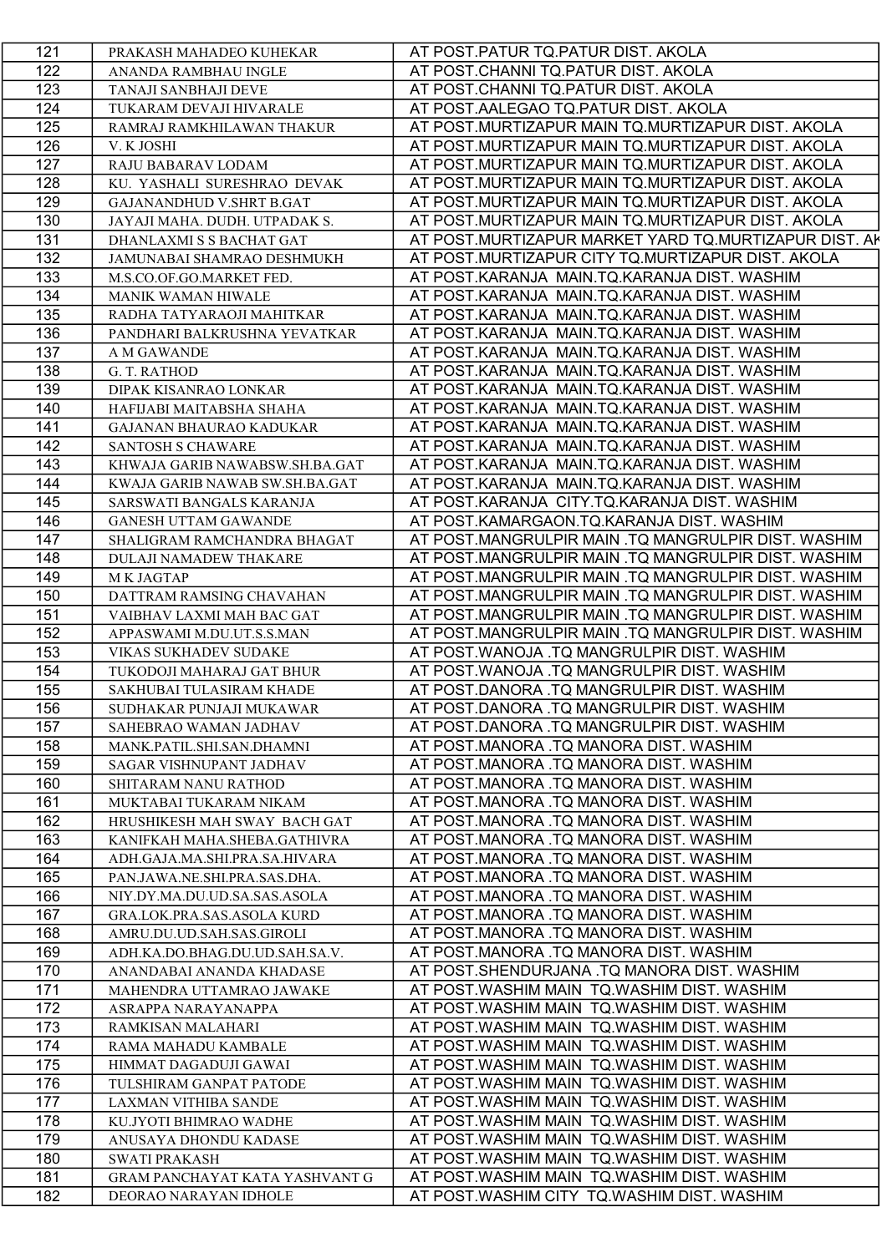| 121        | PRAKASH MAHADEO KUHEKAR                                     | AT POST.PATUR TQ.PATUR DIST. AKOLA                                                        |
|------------|-------------------------------------------------------------|-------------------------------------------------------------------------------------------|
| 122        | ANANDA RAMBHAU INGLE                                        | AT POST.CHANNI TQ.PATUR DIST. AKOLA                                                       |
| 123        | TANAJI SANBHAJI DEVE                                        | AT POST.CHANNI TQ.PATUR DIST. AKOLA                                                       |
| 124        | TUKARAM DEVAJI HIVARALE                                     | AT POST.AALEGAO TQ.PATUR DIST. AKOLA                                                      |
| 125        | RAMRAJ RAMKHILAWAN THAKUR                                   | AT POST.MURTIZAPUR MAIN TQ.MURTIZAPUR DIST. AKOLA                                         |
| 126        | V. K JOSHI                                                  | AT POST.MURTIZAPUR MAIN TQ.MURTIZAPUR DIST. AKOLA                                         |
| 127        | RAJU BABARAV LODAM                                          | AT POST.MURTIZAPUR MAIN TQ.MURTIZAPUR DIST. AKOLA                                         |
| 128        | KU. YASHALI SURESHRAO DEVAK                                 | AT POST.MURTIZAPUR MAIN TQ.MURTIZAPUR DIST. AKOLA                                         |
| 129        | GAJANANDHUD V.SHRT B.GAT                                    | AT POST.MURTIZAPUR MAIN TQ.MURTIZAPUR DIST. AKOLA                                         |
| 130        | JAYAJI MAHA. DUDH. UTPADAK S.                               | AT POST.MURTIZAPUR MAIN TQ.MURTIZAPUR DIST. AKOLA                                         |
| 131        | DHANLAXMI S S BACHAT GAT                                    | AT POST.MURTIZAPUR MARKET YARD TQ.MURTIZAPUR DIST. AK                                     |
| 132        | JAMUNABAI SHAMRAO DESHMUKH                                  | AT POST.MURTIZAPUR CITY TQ.MURTIZAPUR DIST. AKOLA                                         |
| 133        | M.S.CO.OF.GO.MARKET FED.                                    | AT POST.KARANJA MAIN.TQ.KARANJA DIST. WASHIM                                              |
| 134        | MANIK WAMAN HIWALE                                          | AT POST.KARANJA MAIN.TQ.KARANJA DIST. WASHIM                                              |
| 135        | RADHA TATYARAOJI MAHITKAR                                   | AT POST.KARANJA MAIN.TQ.KARANJA DIST. WASHIM                                              |
| 136        | PANDHARI BALKRUSHNA YEVATKAR                                | AT POST.KARANJA MAIN.TQ.KARANJA DIST. WASHIM                                              |
| 137        | A M GAWANDE                                                 | AT POST.KARANJA MAIN.TQ.KARANJA DIST. WASHIM                                              |
| 138        | G. T. RATHOD                                                | AT POST.KARANJA MAIN.TQ.KARANJA DIST. WASHIM                                              |
| 139        | DIPAK KISANRAO LONKAR                                       | AT POST.KARANJA MAIN.TQ.KARANJA DIST. WASHIM                                              |
| 140        | HAFIJABI MAITABSHA SHAHA                                    | AT POST.KARANJA MAIN.TQ.KARANJA DIST. WASHIM                                              |
| 141        | <b>GAJANAN BHAURAO KADUKAR</b>                              | AT POST.KARANJA MAIN.TQ.KARANJA DIST. WASHIM                                              |
| 142        | <b>SANTOSH S CHAWARE</b>                                    | AT POST.KARANJA MAIN.TQ.KARANJA DIST. WASHIM                                              |
| 143        | KHWAJA GARIB NAWABSW.SH.BA.GAT                              | AT POST.KARANJA MAIN.TQ.KARANJA DIST. WASHIM                                              |
| 144        | KWAJA GARIB NAWAB SW.SH.BA.GAT                              | AT POST.KARANJA MAIN.TQ.KARANJA DIST. WASHIM                                              |
| 145        | SARSWATI BANGALS KARANJA                                    | AT POST.KARANJA CITY.TQ.KARANJA DIST. WASHIM                                              |
| 146        | <b>GANESH UTTAM GAWANDE</b>                                 | AT POST.KAMARGAON.TQ.KARANJA DIST. WASHIM                                                 |
| 147        | SHALIGRAM RAMCHANDRA BHAGAT                                 | AT POST.MANGRULPIR MAIN .TQ MANGRULPIR DIST. WASHIM                                       |
| 148        | <b>DULAJI NAMADEW THAKARE</b>                               | AT POST.MANGRULPIR MAIN .TQ MANGRULPIR DIST. WASHIM                                       |
| 149        | M K JAGTAP                                                  | AT POST.MANGRULPIR MAIN .TQ MANGRULPIR DIST. WASHIM                                       |
| 150        | DATTRAM RAMSING CHAVAHAN                                    | AT POST.MANGRULPIR MAIN .TQ MANGRULPIR DIST. WASHIM                                       |
| 151        | VAIBHAV LAXMI MAH BAC GAT                                   | AT POST.MANGRULPIR MAIN .TQ MANGRULPIR DIST. WASHIM                                       |
| 152        | APPASWAMI M.DU.UT.S.S.MAN                                   | AT POST.MANGRULPIR MAIN .TQ MANGRULPIR DIST. WASHIM                                       |
| 153        | VIKAS SUKHADEV SUDAKE                                       | AT POST.WANOJA .TQ MANGRULPIR DIST. WASHIM                                                |
| 154        | TUKODOJI MAHARAJ GAT BHUR                                   | AT POST.WANOJA .TQ MANGRULPIR DIST. WASHIM                                                |
| 155        | SAKHUBAI TULASIRAM KHADE                                    | AT POST.DANORA .TQ MANGRULPIR DIST. WASHIM                                                |
| 156<br>157 | SUDHAKAR PUNJAJI MUKAWAR                                    | AT POST.DANORA .TQ MANGRULPIR DIST. WASHIM                                                |
|            | SAHEBRAO WAMAN JADHAV                                       | AT POST.DANORA .TQ MANGRULPIR DIST. WASHIM                                                |
| 158<br>159 | MANK.PATIL.SHI.SAN.DHAMNI<br><b>SAGAR VISHNUPANT JADHAV</b> | AT POST.MANORA .TQ MANORA DIST. WASHIM<br>AT POST.MANORA .TQ MANORA DIST. WASHIM          |
| 160        |                                                             | AT POST.MANORA .TQ MANORA DIST. WASHIM                                                    |
| 161        | <b>SHITARAM NANU RATHOD</b>                                 |                                                                                           |
| 162        | MUKTABAI TUKARAM NIKAM<br>HRUSHIKESH MAH SWAY BACH GAT      | AT POST.MANORA .TQ MANORA DIST. WASHIM<br>AT POST.MANORA .TQ MANORA DIST. WASHIM          |
| 163        | KANIFKAH MAHA.SHEBA.GATHIVRA                                | AT POST.MANORA .TQ MANORA DIST. WASHIM                                                    |
| 164        | ADH.GAJA.MA.SHI.PRA.SA.HIVARA                               | AT POST.MANORA .TQ MANORA DIST. WASHIM                                                    |
| 165        | PAN.JAWA.NE.SHI.PRA.SAS.DHA.                                | AT POST.MANORA .TQ MANORA DIST. WASHIM                                                    |
| 166        | NIY.DY.MA.DU.UD.SA.SAS.ASOLA                                | AT POST.MANORA .TQ MANORA DIST. WASHIM                                                    |
| 167        | <b>GRA.LOK.PRA.SAS.ASOLA KURD</b>                           | AT POST.MANORA .TQ MANORA DIST. WASHIM                                                    |
| 168        |                                                             | AT POST.MANORA .TQ MANORA DIST. WASHIM                                                    |
|            |                                                             |                                                                                           |
|            | AMRU.DU.UD.SAH.SAS.GIROLI                                   |                                                                                           |
| 169        | ADH.KA.DO.BHAG.DU.UD.SAH.SA.V.<br>ANANDABAI ANANDA KHADASE  | AT POST.MANORA .TQ MANORA DIST. WASHIM                                                    |
| 170<br>171 | MAHENDRA UTTAMRAO JAWAKE                                    | AT POST.SHENDURJANA .TQ MANORA DIST. WASHIM<br>AT POST.WASHIM MAIN TQ.WASHIM DIST. WASHIM |
| 172        | ASRAPPA NARAYANAPPA                                         | AT POST.WASHIM MAIN TQ.WASHIM DIST. WASHIM                                                |
| 173        | RAMKISAN MALAHARI                                           | AT POST.WASHIM MAIN TQ.WASHIM DIST. WASHIM                                                |
| 174        | RAMA MAHADU KAMBALE                                         | AT POST.WASHIM MAIN TQ.WASHIM DIST. WASHIM                                                |
| 175        | HIMMAT DAGADUJI GAWAI                                       | AT POST.WASHIM MAIN TQ.WASHIM DIST. WASHIM                                                |
| 176        | TULSHIRAM GANPAT PATODE                                     | AT POST.WASHIM MAIN TQ.WASHIM DIST. WASHIM                                                |
| 177        | <b>LAXMAN VITHIBA SANDE</b>                                 | AT POST.WASHIM MAIN TQ.WASHIM DIST. WASHIM                                                |
| 178        | KU.JYOTI BHIMRAO WADHE                                      | AT POST.WASHIM MAIN TQ.WASHIM DIST. WASHIM                                                |
| 179        | ANUSAYA DHONDU KADASE                                       | AT POST. WASHIM MAIN TO. WASHIM DIST. WASHIM                                              |
| 180        | <b>SWATI PRAKASH</b>                                        | AT POST.WASHIM MAIN TQ.WASHIM DIST. WASHIM                                                |
| 181        | GRAM PANCHAYAT KATA YASHVANT G                              | AT POST.WASHIM MAIN TQ.WASHIM DIST. WASHIM                                                |